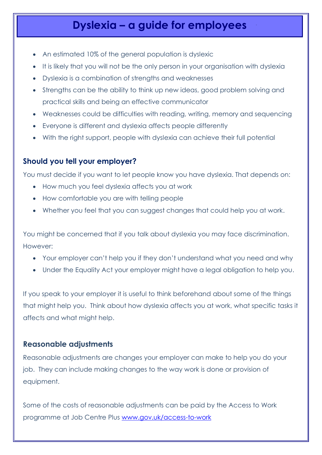# **Dyslexia – a guide for employees**

- An estimated 10% of the general population is dyslexic
- It is likely that you will not be the only person in your organisation with dyslexia
- Dyslexia is a combination of strengths and weaknesses
- Strengths can be the ability to think up new ideas, good problem solving and practical skills and being an effective communicator
- Weaknesses could be difficulties with reading, writing, memory and sequencing
- Everyone is different and dyslexia affects people differently
- With the right support, people with dyslexia can achieve their full potential

### **Should you tell your employer?**

You must decide if you want to let people know you have dyslexia. That depends on:

- How much you feel dyslexia affects you at work
- How comfortable you are with telling people
- Whether you feel that you can suggest changes that could help you at work.

You might be concerned that if you talk about dyslexia you may face discrimination. However:

- Your employer can't help you if they don't understand what you need and why
- Under the Equality Act your employer might have a legal obligation to help you.

If you speak to your employer it is useful to think beforehand about some of the things that might help you. Think about how dyslexia affects you at work, what specific tasks it affects and what might help.

#### **Reasonable adjustments**

Reasonable adjustments are changes your employer can make to help you do your job. They can include making changes to the way work is done or provision of equipment.

Some of the costs of reasonable adjustments can be paid by the Access to Work programme at Job Centre Plus [www.gov.uk/access-to-work](http://www.gov.uk/access-to-work)